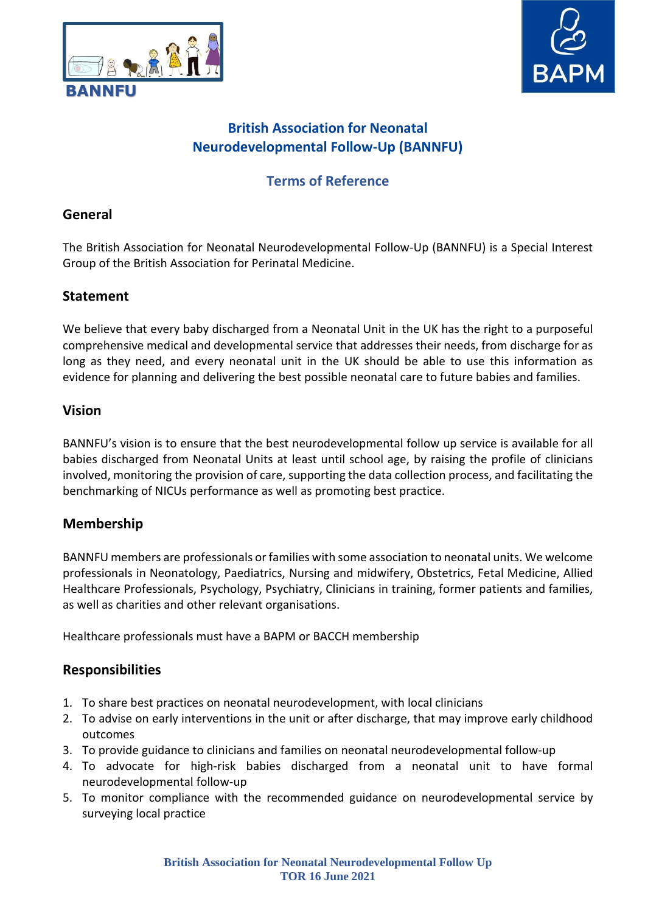



# **Terms of Reference**

### **General**

The British Association for Neonatal Neurodevelopmental Follow-Up (BANNFU) is a Special Interest Group of the British Association for Perinatal Medicine.

### **Statement**

We believe that every baby discharged from a Neonatal Unit in the UK has the right to a purposeful comprehensive medical and developmental service that addresses their needs, from discharge for as long as they need, and every neonatal unit in the UK should be able to use this information as evidence for planning and delivering the best possible neonatal care to future babies and families.

### **Vision**

BANNFU's vision is to ensure that the best neurodevelopmental follow up service is available for all babies discharged from Neonatal Units at least until school age, by raising the profile of clinicians involved, monitoring the provision of care, supporting the data collection process, and facilitating the benchmarking of NICUs performance as well as promoting best practice.

### **Membership**

BANNFU members are professionals orfamilies with some association to neonatal units. We welcome professionals in Neonatology, Paediatrics, Nursing and midwifery, Obstetrics, Fetal Medicine, Allied Healthcare Professionals, Psychology, Psychiatry, Clinicians in training, former patients and families, as well as charities and other relevant organisations.

Healthcare professionals must have a BAPM or BACCH membership

### **Responsibilities**

- 1. To share best practices on neonatal neurodevelopment, with local clinicians
- 2. To advise on early interventions in the unit or after discharge, that may improve early childhood outcomes
- 3. To provide guidance to clinicians and families on neonatal neurodevelopmental follow-up
- 4. To advocate for high-risk babies discharged from a neonatal unit to have formal neurodevelopmental follow-up
- 5. To monitor compliance with the recommended guidance on neurodevelopmental service by surveying local practice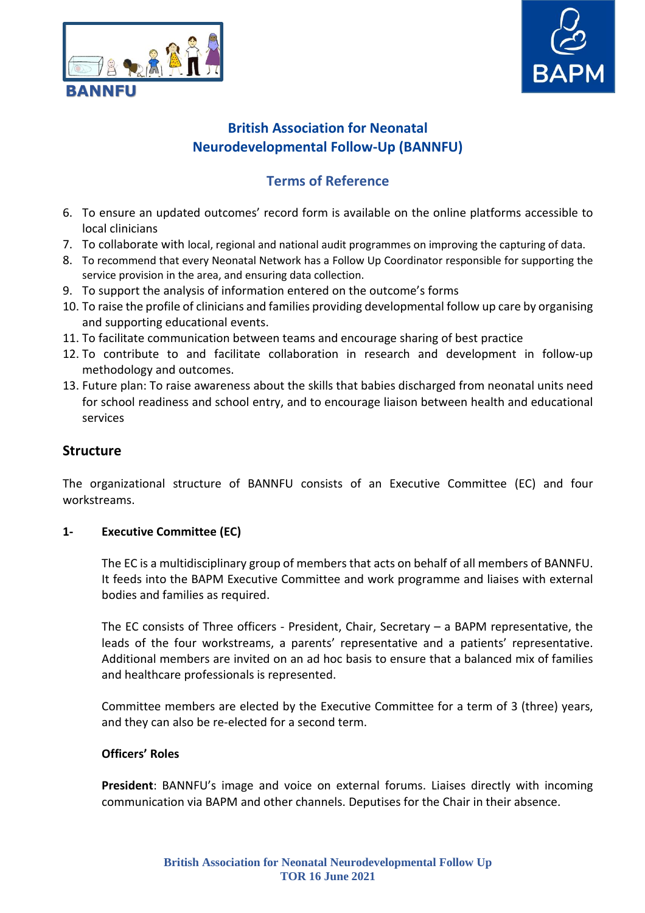



# **Terms of Reference**

- 6. To ensure an updated outcomes' record form is available on the online platforms accessible to local clinicians
- 7. To collaborate with local, regional and national audit programmes on improving the capturing of data.
- 8. To recommend that every Neonatal Network has a Follow Up Coordinator responsible for supporting the service provision in the area, and ensuring data collection.
- 9. To support the analysis of information entered on the outcome's forms
- 10. To raise the profile of clinicians and families providing developmental follow up care by organising and supporting educational events.
- 11. To facilitate communication between teams and encourage sharing of best practice
- 12. To contribute to and facilitate collaboration in research and development in follow-up methodology and outcomes.
- 13. Future plan: To raise awareness about the skills that babies discharged from neonatal units need for school readiness and school entry, and to encourage liaison between health and educational services

### **Structure**

The organizational structure of BANNFU consists of an Executive Committee (EC) and four workstreams.

#### **1- Executive Committee (EC)**

The EC is a multidisciplinary group of membersthat acts on behalf of all members of BANNFU. It feeds into the BAPM Executive Committee and work programme and liaises with external bodies and families as required.

The EC consists of Three officers - President, Chair, Secretary – a BAPM representative, the leads of the four workstreams, a parents' representative and a patients' representative. Additional members are invited on an ad hoc basis to ensure that a balanced mix of families and healthcare professionals is represented.

Committee members are elected by the Executive Committee for a term of 3 (three) years, and they can also be re-elected for a second term.

#### **Officers' Roles**

**President**: BANNFU's image and voice on external forums. Liaises directly with incoming communication via BAPM and other channels. Deputises for the Chair in their absence.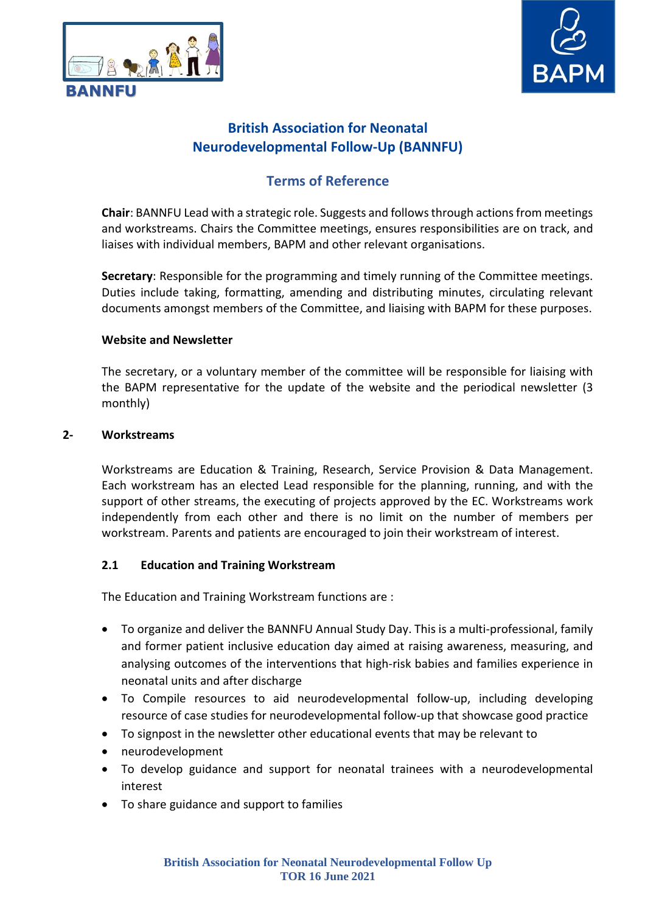



## **Terms of Reference**

**Chair**: BANNFU Lead with a strategic role. Suggests and followsthrough actionsfrom meetings and workstreams. Chairs the Committee meetings, ensures responsibilities are on track, and liaises with individual members, BAPM and other relevant organisations.

**Secretary**: Responsible for the programming and timely running of the Committee meetings. Duties include taking, formatting, amending and distributing minutes, circulating relevant documents amongst members of the Committee, and liaising with BAPM for these purposes.

#### **Website and Newsletter**

The secretary, or a voluntary member of the committee will be responsible for liaising with the BAPM representative for the update of the website and the periodical newsletter (3 monthly)

#### **2- Workstreams**

Workstreams are Education & Training, Research, Service Provision & Data Management. Each workstream has an elected Lead responsible for the planning, running, and with the support of other streams, the executing of projects approved by the EC. Workstreams work independently from each other and there is no limit on the number of members per workstream. Parents and patients are encouraged to join their workstream of interest.

#### **2.1 Education and Training Workstream**

The Education and Training Workstream functions are :

- To organize and deliver the BANNFU Annual Study Day. This is a multi-professional, family and former patient inclusive education day aimed at raising awareness, measuring, and analysing outcomes of the interventions that high-risk babies and families experience in neonatal units and after discharge
- To Compile resources to aid neurodevelopmental follow-up, including developing resource of case studies for neurodevelopmental follow-up that showcase good practice
- To signpost in the newsletter other educational events that may be relevant to
- neurodevelopment
- To develop guidance and support for neonatal trainees with a neurodevelopmental interest
- To share guidance and support to families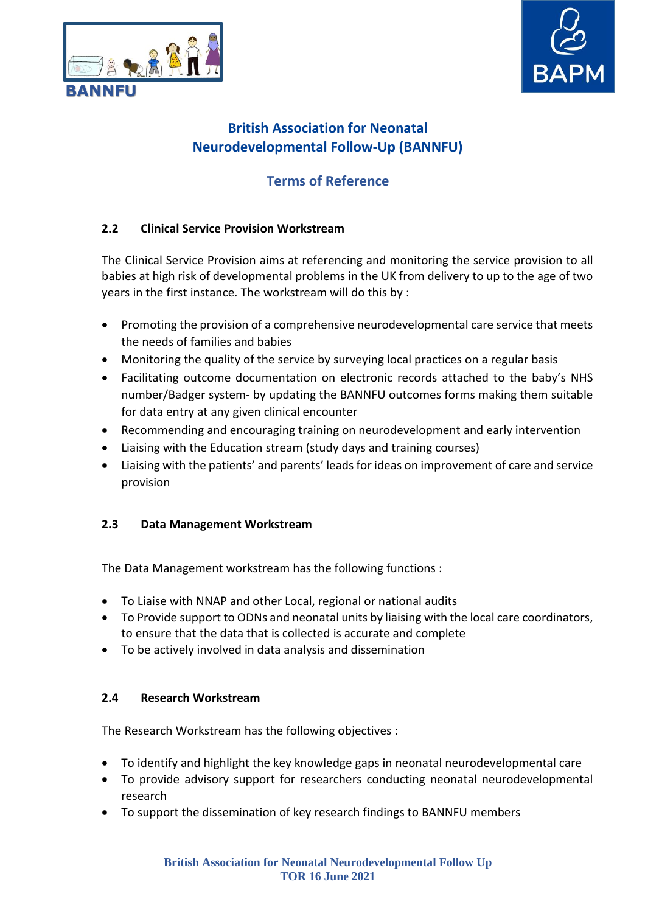



# **Terms of Reference**

#### **2.2 Clinical Service Provision Workstream**

The Clinical Service Provision aims at referencing and monitoring the service provision to all babies at high risk of developmental problems in the UK from delivery to up to the age of two years in the first instance. The workstream will do this by :

- Promoting the provision of a comprehensive neurodevelopmental care service that meets the needs of families and babies
- Monitoring the quality of the service by surveying local practices on a regular basis
- Facilitating outcome documentation on electronic records attached to the baby's NHS number/Badger system- by updating the BANNFU outcomes forms making them suitable for data entry at any given clinical encounter
- Recommending and encouraging training on neurodevelopment and early intervention
- Liaising with the Education stream (study days and training courses)
- Liaising with the patients' and parents' leadsfor ideas on improvement of care and service provision

#### **2.3 Data Management Workstream**

The Data Management workstream has the following functions :

- To Liaise with NNAP and other Local, regional or national audits
- To Provide support to ODNs and neonatal units by liaising with the local care coordinators, to ensure that the data that is collected is accurate and complete
- To be actively involved in data analysis and dissemination

#### **2.4 Research Workstream**

The Research Workstream has the following objectives :

- To identify and highlight the key knowledge gaps in neonatal neurodevelopmental care
- To provide advisory support for researchers conducting neonatal neurodevelopmental research
- To support the dissemination of key research findings to BANNFU members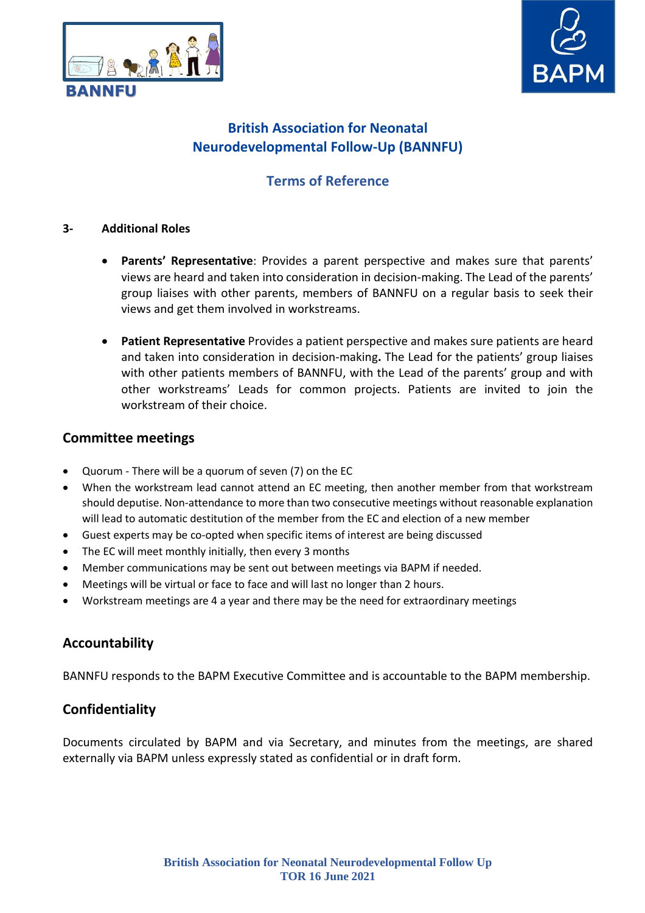



# **Terms of Reference**

#### **3- Additional Roles**

- **Parents' Representative**: Provides a parent perspective and makes sure that parents' views are heard and taken into consideration in decision-making. The Lead of the parents' group liaises with other parents, members of BANNFU on a regular basis to seek their views and get them involved in workstreams.
- **Patient Representative** Provides a patient perspective and makes sure patients are heard and taken into consideration in decision-making**.** The Lead for the patients' group liaises with other patients members of BANNFU, with the Lead of the parents' group and with other workstreams' Leads for common projects. Patients are invited to join the workstream of their choice.

#### **Committee meetings**

- Quorum There will be a quorum of seven (7) on the EC
- When the workstream lead cannot attend an EC meeting, then another member from that workstream should deputise. Non-attendance to more than two consecutive meetings without reasonable explanation will lead to automatic destitution of the member from the EC and election of a new member
- Guest experts may be co-opted when specific items of interest are being discussed
- The EC will meet monthly initially, then every 3 months
- Member communications may be sent out between meetings via BAPM if needed.
- Meetings will be virtual or face to face and will last no longer than 2 hours.
- Workstream meetings are 4 a year and there may be the need for extraordinary meetings

#### **Accountability**

BANNFU responds to the BAPM Executive Committee and is accountable to the BAPM membership.

#### **Confidentiality**

Documents circulated by BAPM and via Secretary, and minutes from the meetings, are shared externally via BAPM unless expressly stated as confidential or in draft form.